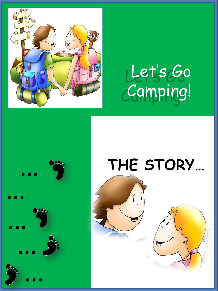

## Let's Go Camping!

# …<br>… …<br>… …<br>… […](http://www.google.es/url?sa=i&rct=j&q=huella&source=images&cd=&cad=rja&docid=XXmkshCWlNF8jM&tbnid=kgB4j-G7gkqIfM:&ved=0CAUQjRw&url=http://www.freepik.es/vector-gratis/huella-del-pie-derecho_519169.htm&ei=EVeNUdrRDJTB0gWB9IDwAg&bvm=bv.46340616,d.ZG4&psig=AFQjCNFTd7N0fa7TaEJAvm5AFnACjwnVYw&ust=1368303758930604)<br>… […](http://www.google.es/url?sa=i&rct=j&q=huella&source=images&cd=&cad=rja&docid=XXmkshCWlNF8jM&tbnid=kgB4j-G7gkqIfM:&ved=0CAUQjRw&url=http://www.freepik.es/vector-gratis/huella-del-pie-derecho_519169.htm&ei=EVeNUdrRDJTB0gWB9IDwAg&bvm=bv.46340616,d.ZG4&psig=AFQjCNFTd7N0fa7TaEJAvm5AFnACjwnVYw&ust=1368303758930604)

## **THE STORY…**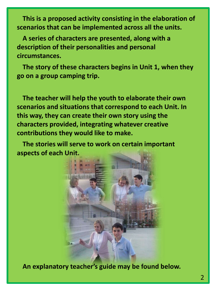**This is a proposed activity consisting in the elaboration of scenarios that can be implemented across all the units.**

**A series of characters are presented, along with a description of their personalities and personal circumstances.**

**The story of these characters begins in Unit 1, when they go on a group camping trip.**

**The teacher will help the youth to elaborate their own scenarios and situations that correspond to each Unit. In this way, they can create their own story using the characters provided, integrating whatever creative contributions they would like to make.**

**The stories will serve to work on certain important aspects of each Unit.** 



**An explanatory teacher's guide may be found below.**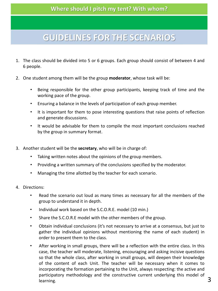#### **GUIDELINES FOR THE SCENARIOS**

- 1. The class should be divided into 5 or 6 groups. Each group should consist of between 4 and 6 people.
- 2. One student among them will be the group **moderator**, whose task will be:
	- Being responsible for the other group participants, keeping track of time and the working pace of the group.
	- Ensuring a balance in the levels of participation of each group member.
	- It is important for them to pose interesting questions that raise points of reflection and generate discussions.
	- It would be advisable for them to compile the most important conclusions reached by the group in summary format.
- 3. Another student will be the **secretary**, who will be in charge of:
	- Taking written notes about the opinions of the group members.
	- Providing a written summary of the conclusions specified by the moderator.
	- Managing the time allotted by the teacher for each scenario.
- 4. Directions:
	- Read the scenario out loud as many times as necessary for all the members of the group to understand it in depth.
	- Individual work based on the S.C.O.R.E. model (10 min.)
	- Share the S.C.O.R.E model with the other members of the group.
	- Obtain individual conclusions (it's not necessary to arrive at a consensus, but just to gather the individual opinions without mentioning the name of each student) in order to present them to the class.
	- After working in small groups, there will be a reflection with the entire class. In this case, the teacher will moderate, listening, encouraging and asking incisive questions so that the whole class, after working in small groups, will deepen their knowledge of the content of each Unit. The teacher will be necessary when it comes to incorporating the formation pertaining to the Unit, always respecting: the active and participatory methodology and the constructive current underlying this model of  $l$  learning.  $3$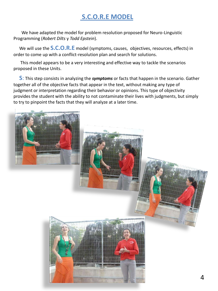#### **S.C.O.R.E MODEL**

We have adapted the model for problem resolution proposed for Neuro-Linguistic Programming (*Robert Dilts* y *Todd Epstein*).

We will use the **S.C.O.R.E** model (symptoms, causes, objectives, resources, effects) in order to come up with a conflict-resolution plan and search for solutions.

This model appears to be a very interesting and effective way to tackle the scenarios proposed in these Units.

**S**: This step consists in analyzing the *symptoms* or facts that happen in the scenario. Gather together all of the objective facts that appear in the text, without making any type of judgment or interpretation regarding their behavior or opinions. This type of objectivity provides the student with the ability to not contaminate their lives with judgments, but simply to try to pinpoint the facts that they will analyze at a later time.

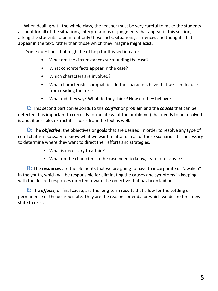When dealing with the whole class, the teacher must be very careful to make the students account for all of the situations, interpretations or judgments that appear in this section, asking the students to point out only those facts, situations, sentences and thoughts that appear in the text, rather than those which they imagine might exist.

Some questions that might be of help for this section are:

- What are the circumstances surrounding the case?
- What concrete facts appear in the case?
- Which characters are involved?
- What characteristics or qualities do the characters have that we can deduce from reading the text?
- What did they say? What do they think? How do they behave?

**C:** This second part corresponds to the *conflict* or problem and the *causes* that can be detected. It is important to correctly formulate what the problem(s) that needs to be resolved is and, if possible, extract its causes from the text as well.

**O:** The *objective*: the objectives or goals that are desired. In order to resolve any type of conflict, it is necessary to know what we want to attain. In all of these scenarios it is necessary to determine where they want to direct their efforts and strategies.

- What is necessary to attain?
- What do the characters in the case need to know, learn or discover?

**R:** The *resources* are the elements that we are going to have to incorporate or "awaken" in the youth, which will be responsible for eliminating the causes and symptoms in keeping with the desired responses directed toward the objective that has been laid out.

**E:** The *effects,* or final cause, are the long-term results that allow for the settling or permanence of the desired state. They are the reasons or ends for which we desire for a new state to exist.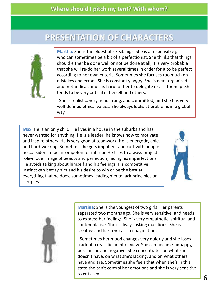#### PRESENTATION OF CHARACTERS



**Martha:** She is the eldest of six siblings. She is a responsible girl, who can sometimes be a bit of a perfectionist. She thinks that things should either be done well or not be done at all; it is very probable that she will re-do her work several times in order for it to be perfect according to her own criteria. Sometimes she focuses too much on mistakes and errors. She is constantly angry. She is neat, organized and methodical, and it is hard for her to delegate or ask for help. She tends to be very critical of herself and others.

She is realistic, very headstrong, and committed, and she has very well-defined ethical values. She always looks at problems in a global way.

**Max**: He is an only child. He lives in a house in the suburbs and has never wanted for anything. He is a leader; he knows how to motivate and inspire others. He is very good at teamwork. He is energetic, able, and hard-working. Sometimes he gets impatient and curt with people he considers to be incompetent or inferior. He tries to always project a role-model image of beauty and perfection, hiding his imperfections. He avoids talking about himself and his feelings. His competitive instinct can betray him and his desire to win or be the best at everything that he does, sometimes leading him to lack principles or scruples.





**Martina:** She is the youngest of two girls. Her parents separated two months ago. She is very sensitive, and needs to express her feelings. She is very empathetic, spiritual and contemplative. She is always asking questions. She is creative and has a very rich imagination.

Sometimes her mood changes very quickly and she loses track of a realistic point of view. She can become unhappy, pessimistic and negative. She concentrates on what she doesn't have, on what she's lacking, and on what others have and are. Sometimes she feels that when she's in this state she can't control her emotions and she is very sensitive to criticism.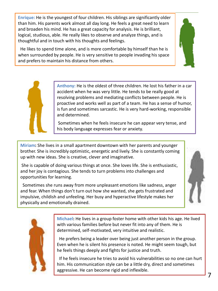**Enrique:** He is the youngest of four children. His siblings are significantly older than him. His parents work almost all day long. He feels a great need to learn and broaden his mind. He has a great capacity for analysis. He is brilliant, logical, studious, able. He really likes to observe and analyze things, and is thoughtful and in touch with his thoughts and feelings.

He likes to spend time alone, and is more comfortable by himself than he is when surrounded by people. He is very sensitive to people invading his space and prefers to maintain his distance from others.



**Anthony:** He is the oldest of three children. He lost his father in a car accident when he was very little. He tends to be really good at resolving problems and mediating conflicts between people. He is proactive and works well as part of a team. He has a sense of humor, is fun and sometimes sarcastic. He is very hard-working, responsible and determined.

Sometimes when he feels insecure he can appear very tense, and his body language expresses fear or anxiety.

**Miriam:** She lives in a small apartment downtown with her parents and younger brother. She is incredibly optimistic, energetic and lively. She is constantly coming up with new ideas. She is creative, clever and imaginative.

She is capable of doing various things at once. She loves life. She is enthusiastic, and her joy is contagious. She tends to turn problems into challenges and opportunities for learning.

Sometimes she runs away from more unpleasant emotions like sadness, anger and fear. When things don't turn out how she wanted, she gets frustrated and impulsive, childish and unfeeling. Her busy and hyperactive lifestyle makes her physically and emotionally drained.





**Michael:** He lives in a group foster home with other kids his age. He lived with various families before but never fit into any of them. He is determined, self-motivated, very intuitive and realistic.

He prefers being a leader over being just another person in the group. Even when he is silent his presence is noted. He might seem tough, but he feels things deeply and fights for justice and truth.

If he feels insecure he tries to avoid his vulnerabilities so no one can hurt him. His communication style can be a little dry, direct and sometimes aggressive. He can become rigid and inflexible.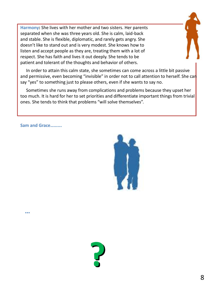**Harmony:** She lives with her mother and two sisters. Her parents separated when she was three years old. She is calm, laid-back and stable. She is flexible, diplomatic, and rarely gets angry. She doesn't like to stand out and is very modest. She knows how to listen and accept people as they are, treating them with a lot of respect. She has faith and lives it out deeply. She tends to be patient and tolerant of the thoughts and behavior of others.



Sometimes she runs away from complications and problems because they upset her too much. It is hard for her to set priorities and differentiate important things from trivial ones. She tends to think that problems "will solve themselves".

**Sam and Grace……….**

**…**



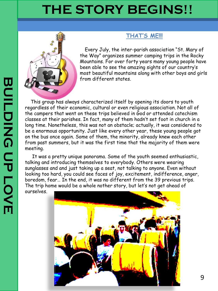### **THE STORY BEGINS!!**



#### **THAT'S ME!!!**

Every July, the inter-parish association "St. Mary of the Way" organizes summer camping trips in the Rocky Mountains. For over forty years many young people have been able to see the amazing sights of our country's most beautiful mountains along with other boys and girls from different states.

This group has always characterized itself by opening its doors to youth regardless of their economic, cultural or even religious association. Not all of the campers that went on these trips believed in God or attended catechism classes at their parishes. In fact, many of them hadn't set foot in church in a long time. Nonetheless, this was not an obstacle; actually, it was considered to be a enormous opportunity. Just like every other year, these young people got on the bus once again. Some of them, the minority, already knew each other from past summers, but it was the first time that the majority of them were meeting.

It was a pretty unique panorama. Some of the youth seemed enthusiastic, talking and introducing themselves to everybody. Others were wearing sunglasses and and just taking up a seat, not talking to anyone. Even without looking too hard, you could see faces of joy, excitement, indifference, anger, boredom, fear… In the end, it was no different from the 39 previous trips. The trip home would be a whole nother story, but let's not get ahead of ourselv[es.](http://www.google.es/url?sa=i&rct=j&q=fotos campamento Picos autobus&source=images&cd=&cad=rja&docid=wVAfI_LokrC_KM&tbnid=6r7p63t1zRq0OM:&ved=0CAUQjRw&url=http://elfarodelabarrosa.blogspot.com/2010_08_01_archive.html&ei=ZIPmUclB5ZPQBfvHgegI&psig=AFQjCNHfo5DlmrzlzAGyTjHpWwZI0V7J9Q&ust=1374147775488844)

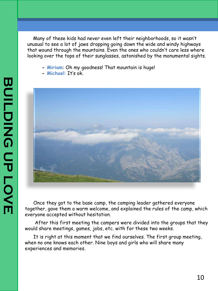Many of these kids had never even left their neighborhoods, so it wasn't unusual to see a lot of jaws dropping going down the wide and windy highways that wound through the mountains. Even the ones who couldn't care less where looking over the tops of their sunglasses, astonished by the monumental sights.

- **- Miriam**: Oh my goodness! That mountain is huge!
- **- Michael**: It's ok.



Once they got to the base camp, the camping leader gathered everyone together, gave them a warm welcome, and explained the rules of the camp, which everyone accepted without hesitation.

After this first meeting the campers were divided into the groups that they would share meetings, games, jobs, etc. with for these two weeks.

It is right at this moment that we find ourselves. The first group meeting, when no one knows each other. Nine boys and girls who will share many experiences and memories.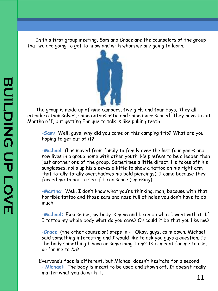In this first group meeting, Sam and Grace are the counselors of the group that we are going to get to know and with whom we are going to learn.



The group is made up of nine campers, five girls and four boys. They all introduce themselves, some enthusiastic and some more scared. They have to cut Martha off, but getting Enrique to talk is like pulling teeth.

-**Sam:** Well, guys, why did you come on this camping trip? What are you hoping to get out of it?

-**Michael** (has moved from family to family over the last four years and now lives in a group home with other youth. He prefers to be a leader than just another one of the group. Sometimes a little direct. He takes off his sunglasses, rolls up his sleeves a little to show a tattoo on his right arm that totally totally overshadows his bold piercings). I came because they forced me to and to see if I can score (smirking).

-**Martha:** Well, I don't know what you're thinking, man, because with that horrible tattoo and those ears and nose full of holes you don't have to do much.

-**Michael:** Excuse me, my body is mine and I can do what I want with it. If I tattoo my whole body what do you care? Or could it be that you like me?

-**Grace**: (the other counselor) steps in:- Okay, guys, calm down. Michael said something interesting and I would like to ask you guys a question. Is the body something I have or something I am? Is it meant for me to use, or for me to be?

Everyone's face is different, but Michael doesn't hesitate for a second: - **Michael:** The body is meant to be used and shown off. It doesn't really matter what you do with it.